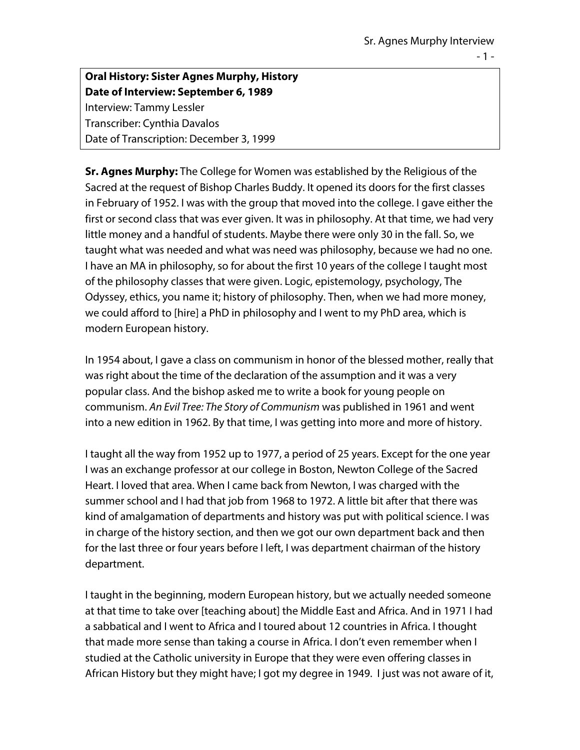**Oral History: Sister Agnes Murphy, History Date of Interview: September 6, 1989** Interview: Tammy Lessler Transcriber: Cynthia Davalos Date of Transcription: December 3, 1999

**Sr. Agnes Murphy:** The College for Women was established by the Religious of the Sacred at the request of Bishop Charles Buddy. It opened its doors for the first classes in February of 1952. I was with the group that moved into the college. I gave either the first or second class that was ever given. It was in philosophy. At that time, we had very little money and a handful of students. Maybe there were only 30 in the fall. So, we taught what was needed and what was need was philosophy, because we had no one. I have an MA in philosophy, so for about the first 10 years of the college I taught most of the philosophy classes that were given. Logic, epistemology, psychology, The Odyssey, ethics, you name it; history of philosophy. Then, when we had more money, we could afford to [hire] a PhD in philosophy and I went to my PhD area, which is modern European history.

In 1954 about, I gave a class on communism in honor of the blessed mother, really that was right about the time of the declaration of the assumption and it was a very popular class. And the bishop asked me to write a book for young people on communism. *An Evil Tree: The Story of Communism* was published in 1961 and went into a new edition in 1962. By that time, I was getting into more and more of history.

I taught all the way from 1952 up to 1977, a period of 25 years. Except for the one year I was an exchange professor at our college in Boston, Newton College of the Sacred Heart. I loved that area. When I came back from Newton, I was charged with the summer school and I had that job from 1968 to 1972. A little bit after that there was kind of amalgamation of departments and history was put with political science. I was in charge of the history section, and then we got our own department back and then for the last three or four years before I left, I was department chairman of the history department.

I taught in the beginning, modern European history, but we actually needed someone at that time to take over [teaching about] the Middle East and Africa. And in 1971 I had a sabbatical and I went to Africa and I toured about 12 countries in Africa. I thought that made more sense than taking a course in Africa. I don't even remember when I studied at the Catholic university in Europe that they were even offering classes in African History but they might have; I got my degree in 1949. I just was not aware of it,

- 1 -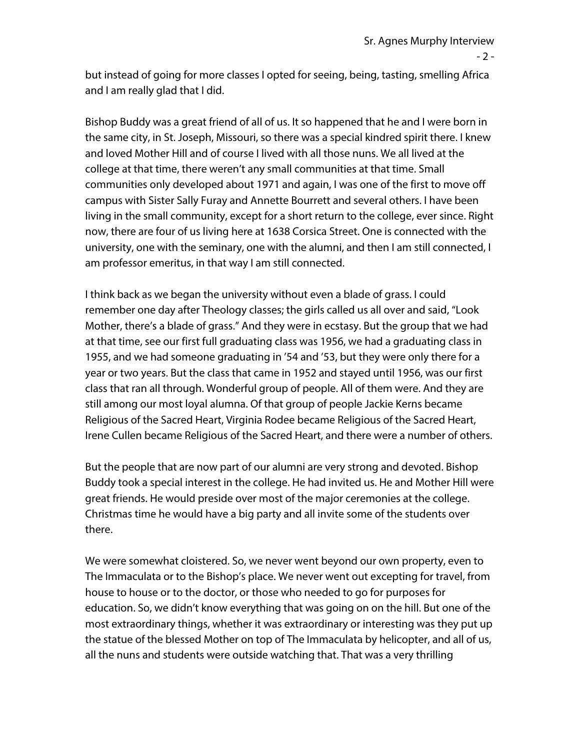$-2 -$ 

but instead of going for more classes I opted for seeing, being, tasting, smelling Africa and I am really glad that I did.

Bishop Buddy was a great friend of all of us. It so happened that he and I were born in the same city, in St. Joseph, Missouri, so there was a special kindred spirit there. I knew and loved Mother Hill and of course I lived with all those nuns. We all lived at the college at that time, there weren't any small communities at that time. Small communities only developed about 1971 and again, I was one of the first to move off campus with Sister Sally Furay and Annette Bourrett and several others. I have been living in the small community, except for a short return to the college, ever since. Right now, there are four of us living here at 1638 Corsica Street. One is connected with the university, one with the seminary, one with the alumni, and then I am still connected, I am professor emeritus, in that way I am still connected.

I think back as we began the university without even a blade of grass. I could remember one day after Theology classes; the girls called us all over and said, "Look Mother, there's a blade of grass." And they were in ecstasy. But the group that we had at that time, see our first full graduating class was 1956, we had a graduating class in 1955, and we had someone graduating in '54 and '53, but they were only there for a year or two years. But the class that came in 1952 and stayed until 1956, was our first class that ran all through. Wonderful group of people. All of them were. And they are still among our most loyal alumna. Of that group of people Jackie Kerns became Religious of the Sacred Heart, Virginia Rodee became Religious of the Sacred Heart, Irene Cullen became Religious of the Sacred Heart, and there were a number of others.

But the people that are now part of our alumni are very strong and devoted. Bishop Buddy took a special interest in the college. He had invited us. He and Mother Hill were great friends. He would preside over most of the major ceremonies at the college. Christmas time he would have a big party and all invite some of the students over there.

We were somewhat cloistered. So, we never went beyond our own property, even to The Immaculata or to the Bishop's place. We never went out excepting for travel, from house to house or to the doctor, or those who needed to go for purposes for education. So, we didn't know everything that was going on on the hill. But one of the most extraordinary things, whether it was extraordinary or interesting was they put up the statue of the blessed Mother on top of The Immaculata by helicopter, and all of us, all the nuns and students were outside watching that. That was a very thrilling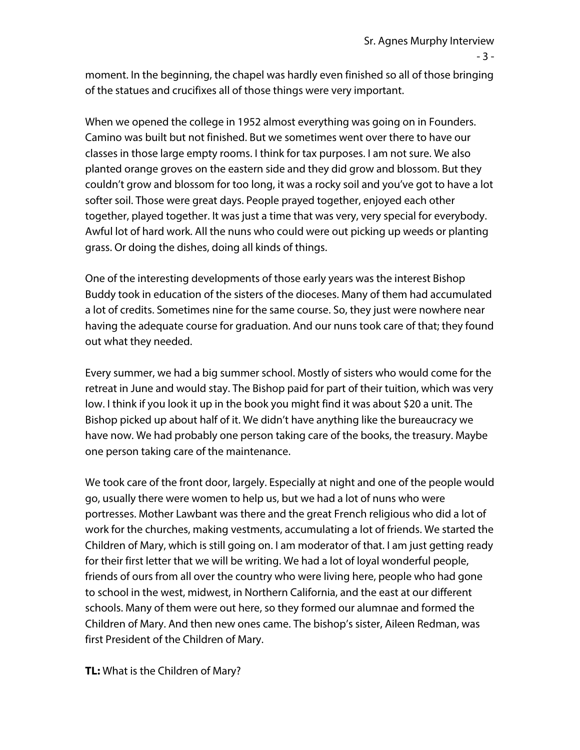- 3 -

moment. In the beginning, the chapel was hardly even finished so all of those bringing of the statues and crucifixes all of those things were very important.

When we opened the college in 1952 almost everything was going on in Founders. Camino was built but not finished. But we sometimes went over there to have our classes in those large empty rooms. I think for tax purposes. I am not sure. We also planted orange groves on the eastern side and they did grow and blossom. But they couldn't grow and blossom for too long, it was a rocky soil and you've got to have a lot softer soil. Those were great days. People prayed together, enjoyed each other together, played together. It was just a time that was very, very special for everybody. Awful lot of hard work. All the nuns who could were out picking up weeds or planting grass. Or doing the dishes, doing all kinds of things.

One of the interesting developments of those early years was the interest Bishop Buddy took in education of the sisters of the dioceses. Many of them had accumulated a lot of credits. Sometimes nine for the same course. So, they just were nowhere near having the adequate course for graduation. And our nuns took care of that; they found out what they needed.

Every summer, we had a big summer school. Mostly of sisters who would come for the retreat in June and would stay. The Bishop paid for part of their tuition, which was very low. I think if you look it up in the book you might find it was about \$20 a unit. The Bishop picked up about half of it. We didn't have anything like the bureaucracy we have now. We had probably one person taking care of the books, the treasury. Maybe one person taking care of the maintenance.

We took care of the front door, largely. Especially at night and one of the people would go, usually there were women to help us, but we had a lot of nuns who were portresses. Mother Lawbant was there and the great French religious who did a lot of work for the churches, making vestments, accumulating a lot of friends. We started the Children of Mary, which is still going on. I am moderator of that. I am just getting ready for their first letter that we will be writing. We had a lot of loyal wonderful people, friends of ours from all over the country who were living here, people who had gone to school in the west, midwest, in Northern California, and the east at our different schools. Many of them were out here, so they formed our alumnae and formed the Children of Mary. And then new ones came. The bishop's sister, Aileen Redman, was first President of the Children of Mary.

**TL:** What is the Children of Mary?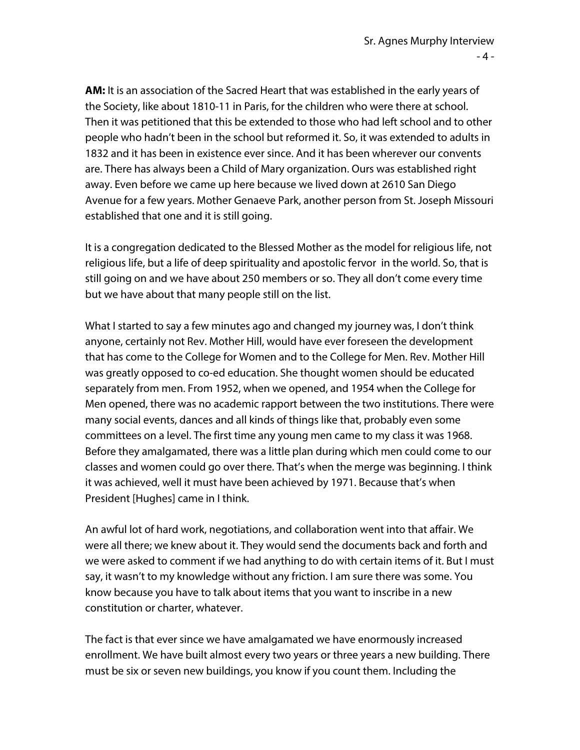**AM:** It is an association of the Sacred Heart that was established in the early years of the Society, like about 1810-11 in Paris, for the children who were there at school. Then it was petitioned that this be extended to those who had left school and to other people who hadn't been in the school but reformed it. So, it was extended to adults in 1832 and it has been in existence ever since. And it has been wherever our convents are. There has always been a Child of Mary organization. Ours was established right away. Even before we came up here because we lived down at 2610 San Diego Avenue for a few years. Mother Genaeve Park, another person from St. Joseph Missouri established that one and it is still going.

It is a congregation dedicated to the Blessed Mother as the model for religious life, not religious life, but a life of deep spirituality and apostolic fervor in the world. So, that is still going on and we have about 250 members or so. They all don't come every time but we have about that many people still on the list.

What I started to say a few minutes ago and changed my journey was, I don't think anyone, certainly not Rev. Mother Hill, would have ever foreseen the development that has come to the College for Women and to the College for Men. Rev. Mother Hill was greatly opposed to co-ed education. She thought women should be educated separately from men. From 1952, when we opened, and 1954 when the College for Men opened, there was no academic rapport between the two institutions. There were many social events, dances and all kinds of things like that, probably even some committees on a level. The first time any young men came to my class it was 1968. Before they amalgamated, there was a little plan during which men could come to our classes and women could go over there. That's when the merge was beginning. I think it was achieved, well it must have been achieved by 1971. Because that's when President [Hughes] came in I think.

An awful lot of hard work, negotiations, and collaboration went into that affair. We were all there; we knew about it. They would send the documents back and forth and we were asked to comment if we had anything to do with certain items of it. But I must say, it wasn't to my knowledge without any friction. I am sure there was some. You know because you have to talk about items that you want to inscribe in a new constitution or charter, whatever.

The fact is that ever since we have amalgamated we have enormously increased enrollment. We have built almost every two years or three years a new building. There must be six or seven new buildings, you know if you count them. Including the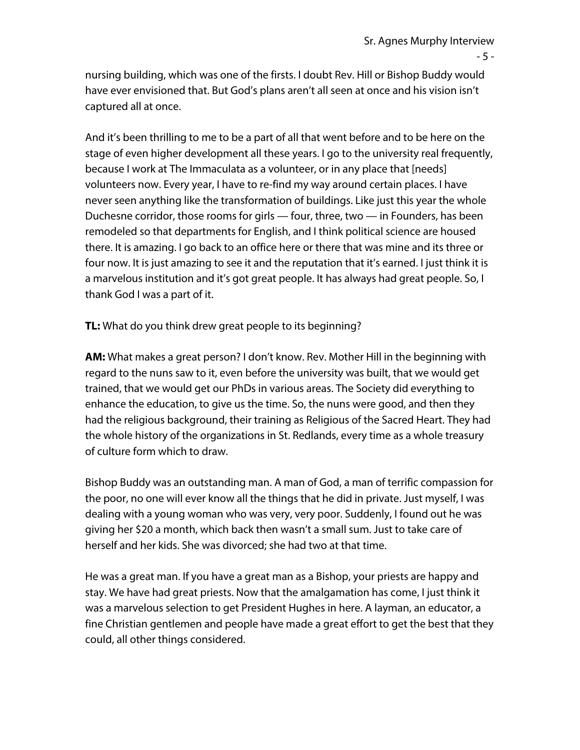nursing building, which was one of the firsts. I doubt Rev. Hill or Bishop Buddy would have ever envisioned that. But God's plans aren't all seen at once and his vision isn't captured all at once.

And it's been thrilling to me to be a part of all that went before and to be here on the stage of even higher development all these years. I go to the university real frequently, because I work at The Immaculata as a volunteer, or in any place that [needs] volunteers now. Every year, I have to re-find my way around certain places. I have never seen anything like the transformation of buildings. Like just this year the whole Duchesne corridor, those rooms for girls — four, three, two — in Founders, has been remodeled so that departments for English, and I think political science are housed there. It is amazing. I go back to an office here or there that was mine and its three or four now. It is just amazing to see it and the reputation that it's earned. I just think it is a marvelous institution and it's got great people. It has always had great people. So, I thank God I was a part of it.

**TL:** What do you think drew great people to its beginning?

**AM:** What makes a great person? I don't know. Rev. Mother Hill in the beginning with regard to the nuns saw to it, even before the university was built, that we would get trained, that we would get our PhDs in various areas. The Society did everything to enhance the education, to give us the time. So, the nuns were good, and then they had the religious background, their training as Religious of the Sacred Heart. They had the whole history of the organizations in St. Redlands, every time as a whole treasury of culture form which to draw.

Bishop Buddy was an outstanding man. A man of God, a man of terrific compassion for the poor, no one will ever know all the things that he did in private. Just myself, I was dealing with a young woman who was very, very poor. Suddenly, I found out he was giving her \$20 a month, which back then wasn't a small sum. Just to take care of herself and her kids. She was divorced; she had two at that time.

He was a great man. If you have a great man as a Bishop, your priests are happy and stay. We have had great priests. Now that the amalgamation has come, I just think it was a marvelous selection to get President Hughes in here. A layman, an educator, a fine Christian gentlemen and people have made a great effort to get the best that they could, all other things considered.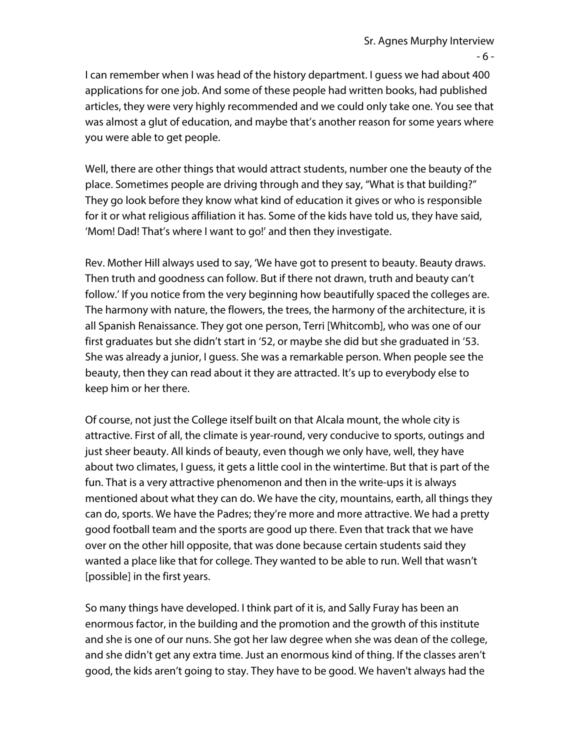I can remember when I was head of the history department. I guess we had about 400 applications for one job. And some of these people had written books, had published articles, they were very highly recommended and we could only take one. You see that was almost a glut of education, and maybe that's another reason for some years where you were able to get people.

Well, there are other things that would attract students, number one the beauty of the place. Sometimes people are driving through and they say, "What is that building?" They go look before they know what kind of education it gives or who is responsible for it or what religious affiliation it has. Some of the kids have told us, they have said, 'Mom! Dad! That's where I want to go!' and then they investigate.

Rev. Mother Hill always used to say, 'We have got to present to beauty. Beauty draws. Then truth and goodness can follow. But if there not drawn, truth and beauty can't follow.' If you notice from the very beginning how beautifully spaced the colleges are. The harmony with nature, the flowers, the trees, the harmony of the architecture, it is all Spanish Renaissance. They got one person, Terri [Whitcomb], who was one of our first graduates but she didn't start in '52, or maybe she did but she graduated in '53. She was already a junior, I guess. She was a remarkable person. When people see the beauty, then they can read about it they are attracted. It's up to everybody else to keep him or her there.

Of course, not just the College itself built on that Alcala mount, the whole city is attractive. First of all, the climate is year-round, very conducive to sports, outings and just sheer beauty. All kinds of beauty, even though we only have, well, they have about two climates, I guess, it gets a little cool in the wintertime. But that is part of the fun. That is a very attractive phenomenon and then in the write-ups it is always mentioned about what they can do. We have the city, mountains, earth, all things they can do, sports. We have the Padres; they're more and more attractive. We had a pretty good football team and the sports are good up there. Even that track that we have over on the other hill opposite, that was done because certain students said they wanted a place like that for college. They wanted to be able to run. Well that wasn't [possible] in the first years.

So many things have developed. I think part of it is, and Sally Furay has been an enormous factor, in the building and the promotion and the growth of this institute and she is one of our nuns. She got her law degree when she was dean of the college, and she didn't get any extra time. Just an enormous kind of thing. If the classes aren't good, the kids aren't going to stay. They have to be good. We haven't always had the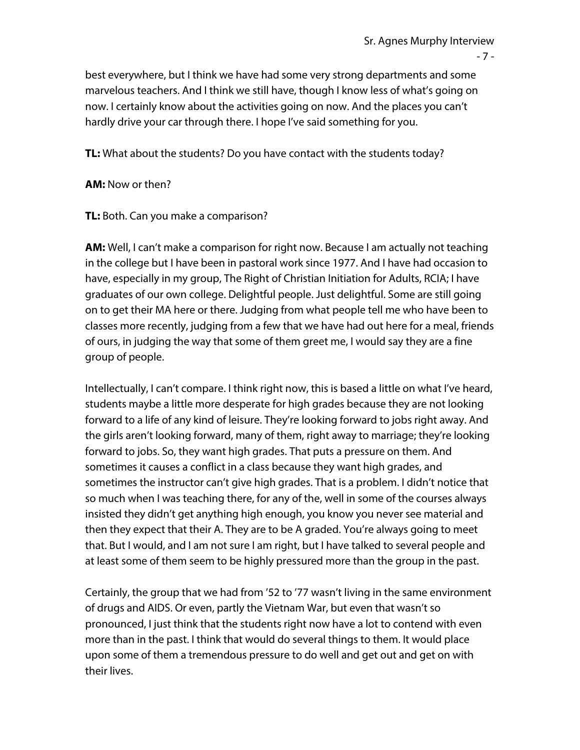- 7 -

best everywhere, but I think we have had some very strong departments and some marvelous teachers. And I think we still have, though I know less of what's going on now. I certainly know about the activities going on now. And the places you can't hardly drive your car through there. I hope I've said something for you.

**TL:** What about the students? Do you have contact with the students today?

**AM:** Now or then?

**TL:** Both. Can you make a comparison?

**AM:** Well, I can't make a comparison for right now. Because I am actually not teaching in the college but I have been in pastoral work since 1977. And I have had occasion to have, especially in my group, The Right of Christian Initiation for Adults, RCIA; I have graduates of our own college. Delightful people. Just delightful. Some are still going on to get their MA here or there. Judging from what people tell me who have been to classes more recently, judging from a few that we have had out here for a meal, friends of ours, in judging the way that some of them greet me, I would say they are a fine group of people.

Intellectually, I can't compare. I think right now, this is based a little on what I've heard, students maybe a little more desperate for high grades because they are not looking forward to a life of any kind of leisure. They're looking forward to jobs right away. And the girls aren't looking forward, many of them, right away to marriage; they're looking forward to jobs. So, they want high grades. That puts a pressure on them. And sometimes it causes a conflict in a class because they want high grades, and sometimes the instructor can't give high grades. That is a problem. I didn't notice that so much when I was teaching there, for any of the, well in some of the courses always insisted they didn't get anything high enough, you know you never see material and then they expect that their A. They are to be A graded. You're always going to meet that. But I would, and I am not sure I am right, but I have talked to several people and at least some of them seem to be highly pressured more than the group in the past.

Certainly, the group that we had from '52 to '77 wasn't living in the same environment of drugs and AIDS. Or even, partly the Vietnam War, but even that wasn't so pronounced, I just think that the students right now have a lot to contend with even more than in the past. I think that would do several things to them. It would place upon some of them a tremendous pressure to do well and get out and get on with their lives.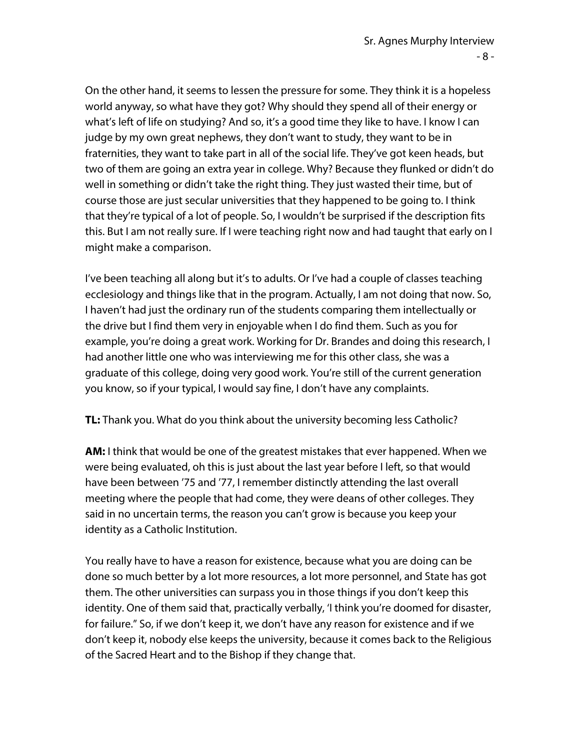On the other hand, it seems to lessen the pressure for some. They think it is a hopeless world anyway, so what have they got? Why should they spend all of their energy or what's left of life on studying? And so, it's a good time they like to have. I know I can judge by my own great nephews, they don't want to study, they want to be in fraternities, they want to take part in all of the social life. They've got keen heads, but two of them are going an extra year in college. Why? Because they flunked or didn't do well in something or didn't take the right thing. They just wasted their time, but of course those are just secular universities that they happened to be going to. I think that they're typical of a lot of people. So, I wouldn't be surprised if the description fits this. But I am not really sure. If I were teaching right now and had taught that early on I might make a comparison.

I've been teaching all along but it's to adults. Or I've had a couple of classes teaching ecclesiology and things like that in the program. Actually, I am not doing that now. So, I haven't had just the ordinary run of the students comparing them intellectually or the drive but I find them very in enjoyable when I do find them. Such as you for example, you're doing a great work. Working for Dr. Brandes and doing this research, I had another little one who was interviewing me for this other class, she was a graduate of this college, doing very good work. You're still of the current generation you know, so if your typical, I would say fine, I don't have any complaints.

**TL:** Thank you. What do you think about the university becoming less Catholic?

**AM:** I think that would be one of the greatest mistakes that ever happened. When we were being evaluated, oh this is just about the last year before I left, so that would have been between '75 and '77, I remember distinctly attending the last overall meeting where the people that had come, they were deans of other colleges. They said in no uncertain terms, the reason you can't grow is because you keep your identity as a Catholic Institution.

You really have to have a reason for existence, because what you are doing can be done so much better by a lot more resources, a lot more personnel, and State has got them. The other universities can surpass you in those things if you don't keep this identity. One of them said that, practically verbally, 'I think you're doomed for disaster, for failure." So, if we don't keep it, we don't have any reason for existence and if we don't keep it, nobody else keeps the university, because it comes back to the Religious of the Sacred Heart and to the Bishop if they change that.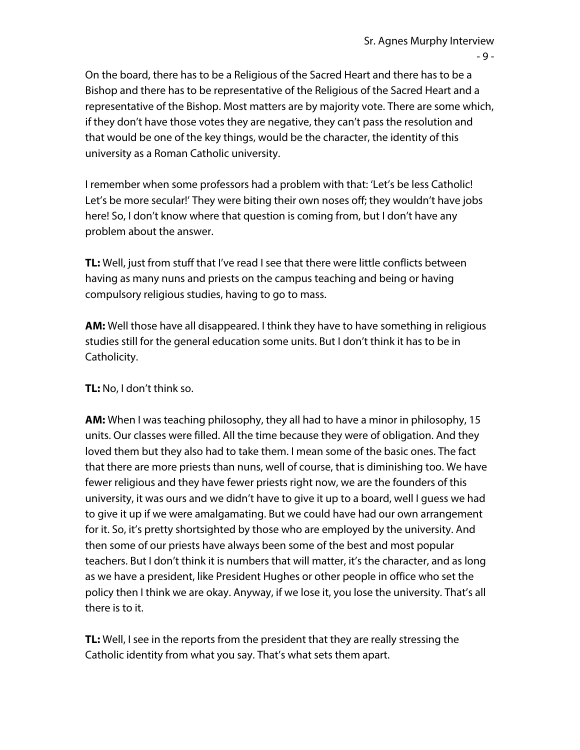On the board, there has to be a Religious of the Sacred Heart and there has to be a Bishop and there has to be representative of the Religious of the Sacred Heart and a representative of the Bishop. Most matters are by majority vote. There are some which, if they don't have those votes they are negative, they can't pass the resolution and that would be one of the key things, would be the character, the identity of this university as a Roman Catholic university.

I remember when some professors had a problem with that: 'Let's be less Catholic! Let's be more secular!' They were biting their own noses off; they wouldn't have jobs here! So, I don't know where that question is coming from, but I don't have any problem about the answer.

**TL:** Well, just from stuff that I've read I see that there were little conflicts between having as many nuns and priests on the campus teaching and being or having compulsory religious studies, having to go to mass.

**AM:** Well those have all disappeared. I think they have to have something in religious studies still for the general education some units. But I don't think it has to be in Catholicity.

## **TL:** No, I don't think so.

**AM:** When I was teaching philosophy, they all had to have a minor in philosophy, 15 units. Our classes were filled. All the time because they were of obligation. And they loved them but they also had to take them. I mean some of the basic ones. The fact that there are more priests than nuns, well of course, that is diminishing too. We have fewer religious and they have fewer priests right now, we are the founders of this university, it was ours and we didn't have to give it up to a board, well I guess we had to give it up if we were amalgamating. But we could have had our own arrangement for it. So, it's pretty shortsighted by those who are employed by the university. And then some of our priests have always been some of the best and most popular teachers. But I don't think it is numbers that will matter, it's the character, and as long as we have a president, like President Hughes or other people in office who set the policy then I think we are okay. Anyway, if we lose it, you lose the university. That's all there is to it.

**TL:** Well, I see in the reports from the president that they are really stressing the Catholic identity from what you say. That's what sets them apart.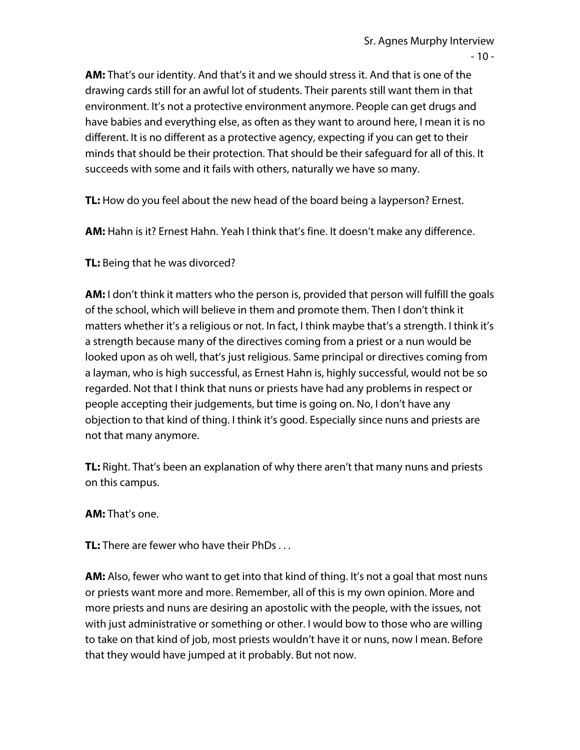**AM:** That's our identity. And that's it and we should stress it. And that is one of the drawing cards still for an awful lot of students. Their parents still want them in that environment. It's not a protective environment anymore. People can get drugs and have babies and everything else, as often as they want to around here, I mean it is no different. It is no different as a protective agency, expecting if you can get to their minds that should be their protection. That should be their safeguard for all of this. It succeeds with some and it fails with others, naturally we have so many.

**TL:** How do you feel about the new head of the board being a layperson? Ernest.

**AM:** Hahn is it? Ernest Hahn. Yeah I think that's fine. It doesn't make any difference.

**TL:** Being that he was divorced?

**AM:** I don't think it matters who the person is, provided that person will fulfill the goals of the school, which will believe in them and promote them. Then I don't think it matters whether it's a religious or not. In fact, I think maybe that's a strength. I think it's a strength because many of the directives coming from a priest or a nun would be looked upon as oh well, that's just religious. Same principal or directives coming from a layman, who is high successful, as Ernest Hahn is, highly successful, would not be so regarded. Not that I think that nuns or priests have had any problems in respect or people accepting their judgements, but time is going on. No, I don't have any objection to that kind of thing. I think it's good. Especially since nuns and priests are not that many anymore.

**TL:** Right. That's been an explanation of why there aren't that many nuns and priests on this campus.

**AM:** That's one.

**TL:** There are fewer who have their PhDs . . .

**AM:** Also, fewer who want to get into that kind of thing. It's not a goal that most nuns or priests want more and more. Remember, all of this is my own opinion. More and more priests and nuns are desiring an apostolic with the people, with the issues, not with just administrative or something or other. I would bow to those who are willing to take on that kind of job, most priests wouldn't have it or nuns, now I mean. Before that they would have jumped at it probably. But not now.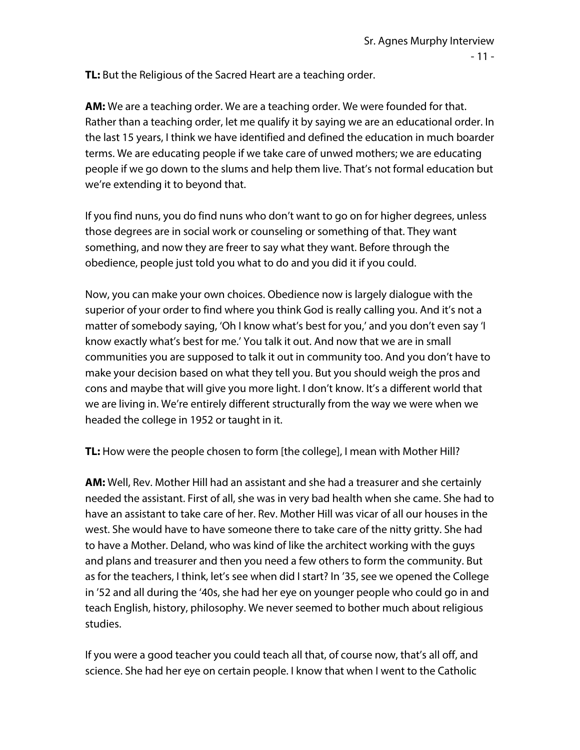**TL:** But the Religious of the Sacred Heart are a teaching order.

**AM:** We are a teaching order. We are a teaching order. We were founded for that. Rather than a teaching order, let me qualify it by saying we are an educational order. In the last 15 years, I think we have identified and defined the education in much boarder terms. We are educating people if we take care of unwed mothers; we are educating people if we go down to the slums and help them live. That's not formal education but we're extending it to beyond that.

If you find nuns, you do find nuns who don't want to go on for higher degrees, unless those degrees are in social work or counseling or something of that. They want something, and now they are freer to say what they want. Before through the obedience, people just told you what to do and you did it if you could.

Now, you can make your own choices. Obedience now is largely dialogue with the superior of your order to find where you think God is really calling you. And it's not a matter of somebody saying, 'Oh I know what's best for you,' and you don't even say 'I know exactly what's best for me.' You talk it out. And now that we are in small communities you are supposed to talk it out in community too. And you don't have to make your decision based on what they tell you. But you should weigh the pros and cons and maybe that will give you more light. I don't know. It's a different world that we are living in. We're entirely different structurally from the way we were when we headed the college in 1952 or taught in it.

**TL:** How were the people chosen to form [the college], I mean with Mother Hill?

**AM:** Well, Rev. Mother Hill had an assistant and she had a treasurer and she certainly needed the assistant. First of all, she was in very bad health when she came. She had to have an assistant to take care of her. Rev. Mother Hill was vicar of all our houses in the west. She would have to have someone there to take care of the nitty gritty. She had to have a Mother. Deland, who was kind of like the architect working with the guys and plans and treasurer and then you need a few others to form the community. But as for the teachers, I think, let's see when did I start? In '35, see we opened the College in '52 and all during the '40s, she had her eye on younger people who could go in and teach English, history, philosophy. We never seemed to bother much about religious studies.

If you were a good teacher you could teach all that, of course now, that's all off, and science. She had her eye on certain people. I know that when I went to the Catholic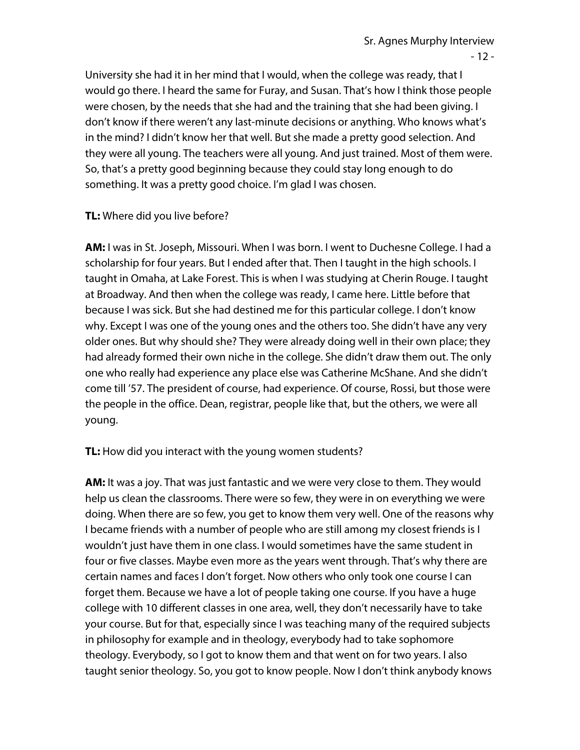- 12 -

University she had it in her mind that I would, when the college was ready, that I would go there. I heard the same for Furay, and Susan. That's how I think those people were chosen, by the needs that she had and the training that she had been giving. I don't know if there weren't any last-minute decisions or anything. Who knows what's in the mind? I didn't know her that well. But she made a pretty good selection. And they were all young. The teachers were all young. And just trained. Most of them were. So, that's a pretty good beginning because they could stay long enough to do something. It was a pretty good choice. I'm glad I was chosen.

## **TL:** Where did you live before?

**AM:** I was in St. Joseph, Missouri. When I was born. I went to Duchesne College. I had a scholarship for four years. But I ended after that. Then I taught in the high schools. I taught in Omaha, at Lake Forest. This is when I was studying at Cherin Rouge. I taught at Broadway. And then when the college was ready, I came here. Little before that because I was sick. But she had destined me for this particular college. I don't know why. Except I was one of the young ones and the others too. She didn't have any very older ones. But why should she? They were already doing well in their own place; they had already formed their own niche in the college. She didn't draw them out. The only one who really had experience any place else was Catherine McShane. And she didn't come till '57. The president of course, had experience. Of course, Rossi, but those were the people in the office. Dean, registrar, people like that, but the others, we were all young.

**TL:** How did you interact with the young women students?

**AM:** It was a joy. That was just fantastic and we were very close to them. They would help us clean the classrooms. There were so few, they were in on everything we were doing. When there are so few, you get to know them very well. One of the reasons why I became friends with a number of people who are still among my closest friends is I wouldn't just have them in one class. I would sometimes have the same student in four or five classes. Maybe even more as the years went through. That's why there are certain names and faces I don't forget. Now others who only took one course I can forget them. Because we have a lot of people taking one course. If you have a huge college with 10 different classes in one area, well, they don't necessarily have to take your course. But for that, especially since I was teaching many of the required subjects in philosophy for example and in theology, everybody had to take sophomore theology. Everybody, so I got to know them and that went on for two years. I also taught senior theology. So, you got to know people. Now I don't think anybody knows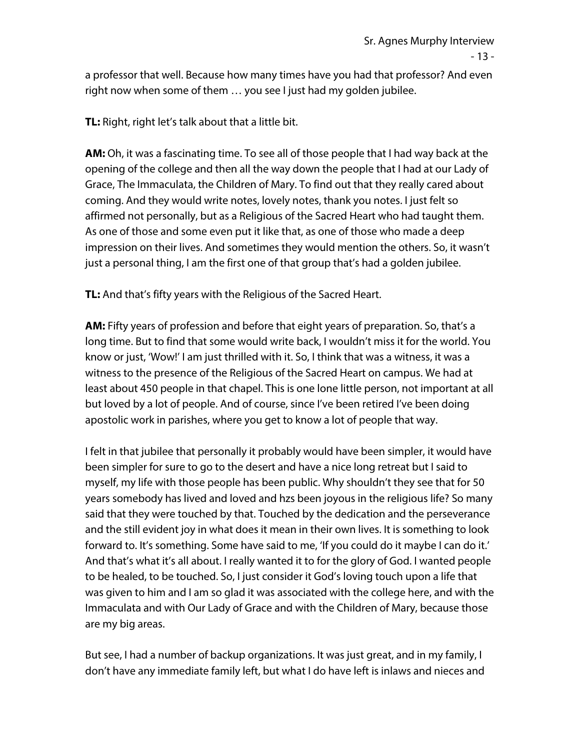a professor that well. Because how many times have you had that professor? And even right now when some of them … you see I just had my golden jubilee.

**TL:** Right, right let's talk about that a little bit.

**AM:** Oh, it was a fascinating time. To see all of those people that I had way back at the opening of the college and then all the way down the people that I had at our Lady of Grace, The Immaculata, the Children of Mary. To find out that they really cared about coming. And they would write notes, lovely notes, thank you notes. I just felt so affirmed not personally, but as a Religious of the Sacred Heart who had taught them. As one of those and some even put it like that, as one of those who made a deep impression on their lives. And sometimes they would mention the others. So, it wasn't just a personal thing, I am the first one of that group that's had a golden jubilee.

**TL:** And that's fifty years with the Religious of the Sacred Heart.

**AM:** Fifty years of profession and before that eight years of preparation. So, that's a long time. But to find that some would write back, I wouldn't miss it for the world. You know or just, 'Wow!' I am just thrilled with it. So, I think that was a witness, it was a witness to the presence of the Religious of the Sacred Heart on campus. We had at least about 450 people in that chapel. This is one lone little person, not important at all but loved by a lot of people. And of course, since I've been retired I've been doing apostolic work in parishes, where you get to know a lot of people that way.

I felt in that jubilee that personally it probably would have been simpler, it would have been simpler for sure to go to the desert and have a nice long retreat but I said to myself, my life with those people has been public. Why shouldn't they see that for 50 years somebody has lived and loved and hzs been joyous in the religious life? So many said that they were touched by that. Touched by the dedication and the perseverance and the still evident joy in what does it mean in their own lives. It is something to look forward to. It's something. Some have said to me, 'If you could do it maybe I can do it.' And that's what it's all about. I really wanted it to for the glory of God. I wanted people to be healed, to be touched. So, I just consider it God's loving touch upon a life that was given to him and I am so glad it was associated with the college here, and with the Immaculata and with Our Lady of Grace and with the Children of Mary, because those are my big areas.

But see, I had a number of backup organizations. It was just great, and in my family, I don't have any immediate family left, but what I do have left is inlaws and nieces and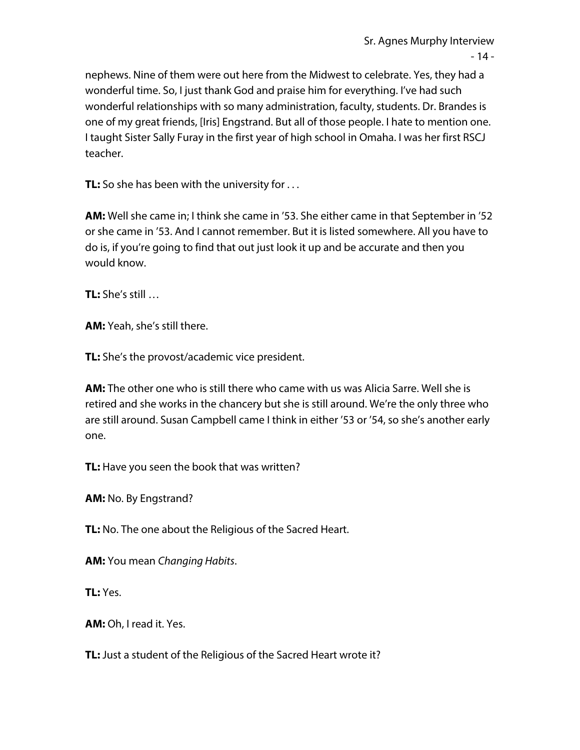nephews. Nine of them were out here from the Midwest to celebrate. Yes, they had a wonderful time. So, I just thank God and praise him for everything. I've had such wonderful relationships with so many administration, faculty, students. Dr. Brandes is one of my great friends, [Iris] Engstrand. But all of those people. I hate to mention one. I taught Sister Sally Furay in the first year of high school in Omaha. I was her first RSCJ teacher.

**TL:** So she has been with the university for ...

**AM:** Well she came in; I think she came in '53. She either came in that September in '52 or she came in '53. And I cannot remember. But it is listed somewhere. All you have to do is, if you're going to find that out just look it up and be accurate and then you would know.

**TL:** She's still …

**AM:** Yeah, she's still there.

**TL:** She's the provost/academic vice president.

**AM:** The other one who is still there who came with us was Alicia Sarre. Well she is retired and she works in the chancery but she is still around. We're the only three who are still around. Susan Campbell came I think in either '53 or '54, so she's another early one.

**TL:** Have you seen the book that was written?

**AM:** No. By Engstrand?

**TL:** No. The one about the Religious of the Sacred Heart.

**AM:** You mean *Changing Habits*.

**TL:** Yes.

**AM:** Oh, I read it. Yes.

**TL:** Just a student of the Religious of the Sacred Heart wrote it?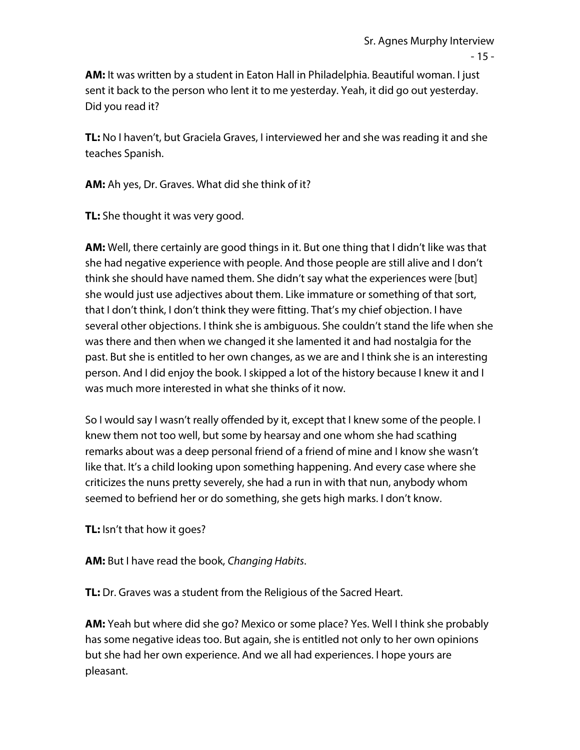$-15 -$ 

**AM:** It was written by a student in Eaton Hall in Philadelphia. Beautiful woman. I just sent it back to the person who lent it to me yesterday. Yeah, it did go out yesterday. Did you read it?

**TL:** No I haven't, but Graciela Graves, I interviewed her and she was reading it and she teaches Spanish.

**AM:** Ah yes, Dr. Graves. What did she think of it?

**TL:** She thought it was very good.

**AM:** Well, there certainly are good things in it. But one thing that I didn't like was that she had negative experience with people. And those people are still alive and I don't think she should have named them. She didn't say what the experiences were [but] she would just use adjectives about them. Like immature or something of that sort, that I don't think, I don't think they were fitting. That's my chief objection. I have several other objections. I think she is ambiguous. She couldn't stand the life when she was there and then when we changed it she lamented it and had nostalgia for the past. But she is entitled to her own changes, as we are and I think she is an interesting person. And I did enjoy the book. I skipped a lot of the history because I knew it and I was much more interested in what she thinks of it now.

So I would say I wasn't really offended by it, except that I knew some of the people. I knew them not too well, but some by hearsay and one whom she had scathing remarks about was a deep personal friend of a friend of mine and I know she wasn't like that. It's a child looking upon something happening. And every case where she criticizes the nuns pretty severely, she had a run in with that nun, anybody whom seemed to befriend her or do something, she gets high marks. I don't know.

**TL:** Isn't that how it goes?

**AM:** But I have read the book, *Changing Habits*.

**TL:** Dr. Graves was a student from the Religious of the Sacred Heart.

**AM:** Yeah but where did she go? Mexico or some place? Yes. Well I think she probably has some negative ideas too. But again, she is entitled not only to her own opinions but she had her own experience. And we all had experiences. I hope yours are pleasant.